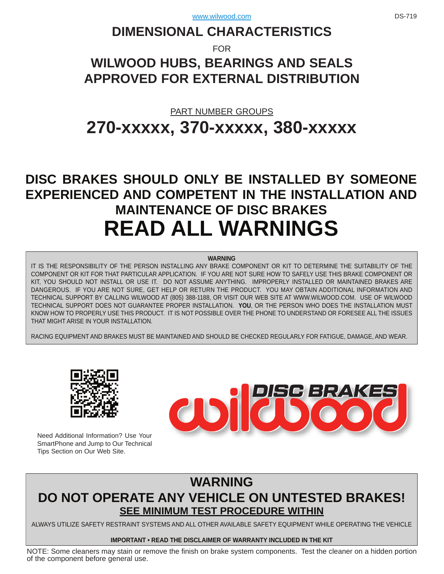# **DIMENSIONAL CHARACTERISTICS**

FOR

# **WILWOOD HUBS, BEARINGS AND SEALS APPROVED FOR EXTERNAL DISTRIBUTION**

# PART NUMBER GROUPS **[270-xxxxx, 370-xxxxx, 380-xxxxx](www.wilwood.com)**

# **DISC BRAKES SHOULD ONLY BE INSTALLED BY SOMEONE [EXPERIENCED AND COMPETENT IN THE INSTALLATION AND](www.wilwood.com)  MAINTENANCE OF DISC BRAKES READ ALL WARNINGS**

#### **WARNING**

IT IS THE RESPONSIBILITY OF THE PERSON INSTALLING ANY BRAKE COMPONENT OR KIT TO DETERMINE THE SUITABILITY OF THE COMPONENT OR KIT FOR THAT PARTICULAR APPLICATION. IF YOU ARE NOT SURE HOW TO SAFELY USE THIS BRAKE COMPONENT OR KIT, YOU SHOULD NOT INSTALL OR USE IT. DO NOT ASSUME ANYTHING. IMPROPERLY INSTALLED OR MAINTAINED BRAKES ARE [DANGEROUS. IF YOU ARE NOT SURE, GET HELP OR RETURN THE PRODUCT. YOU MAY OBTAIN ADDITIONAL INFORMATION AND](www.wilwood.com)  TECHNICAL SUPPORT BY CALLING WILWOOD AT (805) 388-1188, OR VISIT OUR WEB SITE AT WWW.WILWOOD.COM. USE OF WILWOOD TECHNICAL SUPPORT DOES NOT GUARANTEE PROPER INSTALLATION. **YOU**, OR THE PERSON WHO DOES THE INSTALLATION MUST KNOW HOW TO PROPERLY USE THIS PRODUCT. IT IS NOT POSSIBLE OVER THE PHONE TO UNDERSTAND OR FORESEE ALL THE ISSUES THAT MIGHT ARISE IN YOUR INSTALLATION.

RACING EQUIPMENT AND BRAKES MUST BE MAINTAINED AND SHOULD BE CHECKED REGULARLY FOR FATIGUE, DAMAGE, AND WEAR.



Need Additional Information? Use Your SmartPhone and Jump to Our Technical Tips Section on Our Web Site.



## **WARNING [DO NOT OPERATE ANY VEHICLE ON UNTESTED BRAKES!](www.wilwood.com) SEE MINIMUM TEST PROCEDURE WITHIN**

ALWAYS UTILIZE SAFETY RESTRAINT SYSTEMS AND ALL OTHER AVAILABLE SAFETY EQUIPMENT WHILE OPERATING THE VEHICLE

#### **IMPORTANT • READ THE DISCLAIMER OF WARRANTY INCLUDED IN THE KIT**

[NOTE: Some cleaners may stain or remove the finish on brake system components. Test the cleaner on a hidden portion](www.wilwood.com) of the component before general use.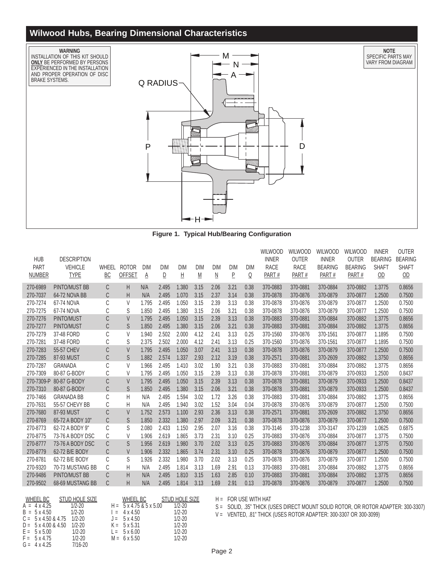## **Wilwood Hubs, Bearing Dimensional Characteristics**



**[Figure 1. Typical Hub/Bearing Configuration](www.wilwood.com)**

| <b>HUB</b><br>PART<br><b>NUMBER</b> | <b>DESCRIPTION</b><br><b>VEHICLE</b><br><b>TYPE</b> | WHEEL<br>BC | <b>ROTOR</b><br><b>OFFSET</b> | <b>DIM</b><br>A | <b>DIM</b><br>⊵ | <b>DIM</b><br>且 | <b>DIM</b><br>$\underline{\mathsf{M}}$ | <b>DIM</b><br><u>N</u> | <b>DIM</b><br>$\overline{E}$ | <b>DIM</b><br>ℚ | <b>WILWOOD</b><br><b>INNER</b><br><b>RACE</b><br>PART# | WILWOOD<br><b>OUTER</b><br><b>RACE</b><br>PART# | <b>WILWOOD</b><br><b>INNER</b><br><b>BEARING</b><br>PART# | Wilwood<br><b>OUTER</b><br><b>BEARING</b><br>PART# | <b>INNER</b><br><b>BEARING</b><br><b>SHAFT</b><br>OD | <b>OUTER</b><br><b>BEARING</b><br><b>SHAFT</b><br>$\underline{OD}$ |
|-------------------------------------|-----------------------------------------------------|-------------|-------------------------------|-----------------|-----------------|-----------------|----------------------------------------|------------------------|------------------------------|-----------------|--------------------------------------------------------|-------------------------------------------------|-----------------------------------------------------------|----------------------------------------------------|------------------------------------------------------|--------------------------------------------------------------------|
| 270-6989                            | <b>PINTO/MUST BB</b>                                | C           | H                             | N/A             | 2.495           | 1.380           | 3.15                                   | 2.06                   | 3.21                         | 0.38            | 370-0883                                               | 370-0881                                        | 370-0884                                                  | 370-0882                                           | 1.3775                                               | 0.8656                                                             |
| 270-7037                            | 64-72 NOVA BB                                       | C           | H                             | N/A             | 2.495           | 1.070           | 3.15                                   | 2.37                   | 3.14                         | 0.38            | 370-0878                                               | 370-0876                                        | 370-0879                                                  | 370-0877                                           | 1.2500                                               | 0.7500                                                             |
| 270-7274                            | 67-74 NOVA                                          | C           | V                             | 1.795           | 2.495           | 1.050           | 3.15                                   | 2.39                   | 3.13                         | 0.38            | 370-0878                                               | 370-0876                                        | 370-0879                                                  | 370-0877                                           | 1.2500                                               | 0.7500                                                             |
| 270-7275                            | 67-74 NOVA                                          | С           | S                             | 1.850           | 2.495           | 1.380           | 3.15                                   | 2.06                   | 3.21                         | 0.38            | 370-0878                                               | 370-0876                                        | 370-0879                                                  | 370-0877                                           | 1.2500                                               | 0.7500                                                             |
| 270-7276                            | PINTO/MUST                                          | C           | V                             | 1.795           | 2.495           | 1.050           | 3.15                                   | 2.39                   | 3.13                         | 0.38            | 370-0883                                               | 370-0881                                        | 370-0884                                                  | 370-0882                                           | 1.3775                                               | 0.8656                                                             |
| 270-7277                            | PINTO/MUST                                          | C           | S                             | 1.850           | 2.495           | 1.380           | 3.15                                   | 2.06                   | 3.21                         | 0.38            | 370-0883                                               | 370-0881                                        | 370-0884                                                  | 370-0882                                           | 1.3775                                               | 0.8656                                                             |
| 270-7279                            | 37-48 FORD                                          | C           | V                             | 1.940           | 2.502           | 2.000           | 4.12                                   | 2.41                   | 3.13                         | 0.25            | 370-1560                                               | 370-0876                                        | 370-1561                                                  | 370-0877                                           | 1.1895                                               | 0.7500                                                             |
| 270-7281                            | 37-48 FORD                                          | C           | S                             | 2.375           | 2.502           | 2.000           | 4.12                                   | 2.41                   | 3.13                         | 0.25            | 370-1560                                               | 370-0876                                        | 370-1561                                                  | 370-0877                                           | 1.1895                                               | 0.7500                                                             |
| 270-7283                            | 55-57 CHEV                                          | C           | $\vee$                        | 1.795           | 2.495           | 1.050           | 3.07                                   | 2.41                   | 3.13                         | 0.38            | 370-0878                                               | 370-0876                                        | 370-0879                                                  | 370-0877                                           | 1.2500                                               | 0.7500                                                             |
| 270-7285                            | 87-93 MUST                                          | C           | S                             | 1.882           | 2.574           | 1.337           | 2.93                                   | 2.12                   | 3.19                         | 0.38            | 370-2571                                               | 370-0881                                        | 370-2609                                                  | 370-0882                                           | 1.3750                                               | 0.8656                                                             |
| 270-7287                            | <b>GRANADA</b>                                      | C           | V                             | 1.966           | 2.495           | 1.410           | 3.02                                   | 1.90                   | 3.21                         | 0.38            | 370-0883                                               | 370-0881                                        | 370-0884                                                  | 370-0882                                           | 1.3775                                               | 0.8656                                                             |
| 270-7309                            | 80-87 G-BODY                                        | C           | V                             | 1.795           | 2.495           | 1.050           | 3.15                                   | 2.39                   | 3.13                         | 0.38            | 370-0878                                               | 370-0881                                        | 370-0879                                                  | 370-0933                                           | 1.2500                                               | 0.8437                                                             |
| 270-7309-P                          | 80-87 G-BODY                                        | C           | V                             | 1.795           | 2.495           | 1.050           | 3.15                                   | 2.39                   | 3.13                         | 0.38            | 370-0878                                               | 370-0881                                        | 370-0879                                                  | 370-0933                                           | 1.2500                                               | 0.8437                                                             |
| 270-7310                            | 80-87 G-BODY                                        | C           | S                             | 1.850           | 2.495           | 1.380           | 3.15                                   | 2.06                   | 3.21                         | 0.38            | 370-0878                                               | 370-0881                                        | 370-0879                                                  | 370-0933                                           | 1.2500                                               | 0.8437                                                             |
| 270-7466                            | <b>GRANADA BB</b>                                   | C           | H                             | N/A             | 2.495           | 1.594           | 3.02                                   | 1.72                   | 3.26                         | 0.38            | 370-0883                                               | 370-0881                                        | 370-0884                                                  | 370-0882                                           | 1.3775                                               | 0.8656                                                             |
| 270-7631                            | 55-57 CHEVY BB                                      | С           | H                             | N/A             | 2.495           | 1.940           | 3.02                                   | 1.52                   | 3.04                         | 0.04            | 370-0878                                               | 370-0876                                        | 370-0879                                                  | 370-0877                                           | 1.2500                                               | 0.7500                                                             |
| 270-7680                            | 87-93 MUST                                          | C           | $\vee$                        | 1.752           | 2.573           | 1.100           | 2.93                                   | 2.36                   | 3.13                         | 0.38            | 370-2571                                               | 370-0881                                        | 370-2609                                                  | 370-0882                                           | 1.3750                                               | 0.8656                                                             |
| 270-8769                            | 65-72 A BODY 10"                                    | C           | S                             | 1.850           | 2.332           | 1.380           | 2.97                                   | 2.09                   | 3.21                         | 0.38            | 370-0878                                               | 370-0876                                        | 370-0879                                                  | 370-0877                                           | 1.2500                                               | 0.7500                                                             |
| 270-8773                            | 62-72 A BODY 9"                                     | C           | S                             | 2.080           | 2.433           | 1.150           | 2.95                                   | 2.07                   | 3.16                         | 0.38            | 370-3146                                               | 370-1238                                        | 370-3147                                                  | 370-1239                                           | 1.0625                                               | 0.6875                                                             |
| 270-8775                            | 73-76 A BODY DSC                                    | C           | V                             | 1.906           | 2.619           | 1.865           | 3.73                                   | 2.31                   | 3.10                         | 0.25            | 370-0883                                               | 370-0876                                        | 370-0884                                                  | 370-0877                                           | 1.3775                                               | 0.7500                                                             |
| 270-8777                            | 73-76 A BODY DSC                                    | C           | S                             | 1.956           | 2.619           | 1.980           | 3.70                                   | 2.02                   | 3.13                         | 0.25            | 370-0883                                               | 370-0876                                        | 370-0884                                                  | 370-0877                                           | 1.3775                                               | 0.7500                                                             |
| 270-8779                            | 62-72 B/E BODY                                      | C           | $\vee$                        | 1.906           | 2.332           | 1.865           | 3.74                                   | 2.31                   | 3.10                         | 0.25            | 370-0878                                               | 370-0876                                        | 370-0879                                                  | 370-0877                                           | 1.2500                                               | 0.7500                                                             |
| 270-8781                            | 62-72 B/E BODY                                      | C           | S                             | 1.926           | 2.332           | 1.980           | 3.70                                   | 2.02                   | 3.13                         | 0.25            | 370-0878                                               | 370-0876                                        | 370-0879                                                  | 370-0877                                           | 1.2500                                               | 0.7500                                                             |
| 270-9320                            | 70-73 MUSTANG BB                                    | C           | Н                             | N/A             | 2.495           | 1.814           | 3.13                                   | 1.69                   | 2.91                         | 0.13            | 370-0883                                               | 370-0881                                        | 370-0884                                                  | 370-0882                                           | 1.3775                                               | 0.8656                                                             |
| 270-9486                            | PINTO/MUST BB                                       | C           | Н                             | N/A             | 2.495           | 1.810           | 3.15                                   | 1.63                   | 2.85                         | 0.10            | 370-0883                                               | 370-0881                                        | 370-0884                                                  | 370-0882                                           | 1.3775                                               | 0.8656                                                             |
| 270-9502                            | 68-69 MUSTANG BB                                    | C           | H                             | N/A             | 2.495           | 1.814           | 3.13                                   | 1.69                   | 2.91                         | 0.13            | 370-0878                                               | 370-0876                                        | 370-0879                                                  | 370-0877                                           | 1.2500                                               | 0.7500                                                             |
|                                     |                                                     |             |                               |                 |                 |                 |                                        |                        |                              |                 |                                                        |                                                 |                                                           |                                                    |                                                      |                                                                    |

| WHEEL BC                    | STUD HOLE SIZE                           | WHEEL BC                             | STUD HOLE SIZE |
|-----------------------------|------------------------------------------|--------------------------------------|----------------|
| $A = 4 \times 4.25$         | 1/2-20                                   | $H = 5 \times 4.75 \& 5 \times 5.00$ | $1/2 - 20$     |
| $B = 5 \times 4.50$         | 1/2-20                                   | $= 4 \times 4.50$                    | $1/2 - 20$     |
|                             | $C = 5 \times 4.50 \& 4.75 \quad 1/2-20$ | $J = 5 \times 4.50$                  | $1/2 - 20$     |
| $D = 5 \times 4.00 \& 4.50$ | $1/2 - 20$                               | $K = 5 \times 5.31$                  | $1/2 - 20$     |
| $E = 5 \times 5.00$         | $1/2 - 20$                               | $L = 5 \times 6.00$                  | $1/2 - 20$     |
| $F = 5 \times 4.75$         | $1/2 - 20$                               | $M = 6 \times 5.50$                  | $1/2 - 20$     |
| $G = 4 \times 4.25$         | 7/16-20                                  |                                      |                |

 $H = FOR USE WITH HAT$ 

S = SOLID, .35" THICK (USES DIRECT MOUNT SOLID ROTOR, OR ROTOR ADAPTER: 300-3307)

V = VENTED, .81" THICK (USES ROTOR ADAPTER: 300-3307 OR 300-3099)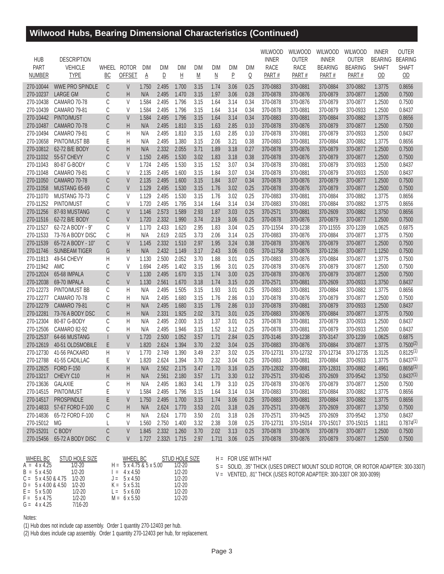## **Wilwood Hubs, Bearing Dimensional Characteristics (Continued)**

|               |                                      |       |               |            |              |                         |                          |                          |                |      | <b>WILWOOD</b> | WILWOOD      | WILWOOD        | <b>WILWOOD</b> | <b>INNER</b>                   | <b>OUTER</b>              |
|---------------|--------------------------------------|-------|---------------|------------|--------------|-------------------------|--------------------------|--------------------------|----------------|------|----------------|--------------|----------------|----------------|--------------------------------|---------------------------|
| <b>HUB</b>    | <b>DESCRIPTION</b><br><b>VEHICLE</b> | WHEEL | <b>ROTOR</b>  |            |              |                         |                          |                          |                |      | <b>INNER</b>   | <b>OUTER</b> | <b>INNER</b>   | <b>OUTER</b>   | <b>BEARING</b><br><b>SHAFT</b> | <b>BEARING</b>            |
| PART          |                                      |       |               | <b>DIM</b> | DIM          | DIM                     | DIM                      | <b>DIM</b>               | DIM            | DIM  | <b>RACE</b>    | <b>RACE</b>  | <b>BEARING</b> | <b>BEARING</b> |                                | <b>SHAFT</b>              |
| <b>NUMBER</b> | <b>TYPE</b>                          | BC    | <b>OFFSET</b> | A          | ₽            | $\overline{\mathsf{H}}$ | $\underline{\mathsf{M}}$ | $\underline{\mathsf{N}}$ | $\overline{P}$ | Q    | PART#          | PART#        | PART#          | PART#          | $\underline{OD}$               | $\underline{\mathsf{OD}}$ |
| 270-10044     | <b>WWE PRO SPINDLE</b>               | C     | V             | 1.750      | 2.495        | 1.700                   | 3.15                     | 1.74                     | 3.06           | 0.25 | 370-0883       | 370-0881     | 370-0884       | 370-0882       | 1.3775                         | 0.8656                    |
| 270-10237     | <b>LARGE GM</b>                      | С     | Η             | N/A        | 2.495        | 1.470                   | 3.15                     | 1.97                     | 3.06           | 0.28 | 370-0878       | 370-0876     | 370-0879       | 370-0877       | 1.2500                         | 0.7500                    |
| 270-10438     | <b>CAMARO 70-78</b>                  | C     | V             | 1.584      | 2.495        | 1.796                   | 3.15                     | 1.64                     | 3.14           | 0.34 | 370-0878       | 370-0876     | 370-0879       | 370-0877       | 1.2500                         | 0.7500                    |
| 270-10439     | <b>CAMARO 79-81</b>                  | C     | $\vee$        | 1.584      | 2.495        | 1.796                   | 3.15                     | 1.64                     | 3.14           | 0.34 | 370-0878       | 370-0881     | 370-0879       | 370-0933       | 1.2500                         | 0.8437                    |
| 270-10442     | PINTO/MUST                           | С     | V             | 1.584      | 2.495        | 1.796                   | 3.15                     | 1.64                     | 3.14           | 0.34 | 370-0883       | 370-0881     | 370-0884       | 370-0882       | 1.3775                         | 0.8656                    |
| 270-10487     | <b>CAMARO 70-78</b>                  | С     | Η             | N/A        | 2.495        | 1.810                   | 3.15                     | 1.63                     | 2.85           | 0.10 | 370-0878       | 370-0876     | 370-0879       | 370-0877       | 1.2500                         | 0.7500                    |
| 270-10494     | <b>CAMARO 79-81</b>                  | С     | H             | N/A        | 2.495        | 1.810                   | 3.15                     | 1.63                     | 2.85           | 0.10 | 370-0878       | 370-0881     | 370-0879       | 370-0933       | 1.2500                         | 0.8437                    |
| 270-10658     | PINTO/MUST BB                        | E     | H             | N/A        | 2.495        | 1.380                   | 3.15                     | 2.06                     | 3.21           | 0.38 | 370-0883       | 370-0881     | 370-0884       | 370-0882       | 1.3775                         | 0.8656                    |
| 270-10812     | 62-72 B/E BODY                       | С     | Η             | N/A        | 2.332        | 2.055                   | 3.71                     | 1.89                     | 3.18           | 0.27 | 370-0878       | 370-0876     | 370-0879       | 370-0877       | 1.2500                         | 0.7500                    |
| 270-11032     | 55-57 CHEVY                          | С     | $\vee$        | 1.150      | 2.495        | 1.530                   | 3.02                     | 1.83                     | 3.18           | 0.38 | 370-0878       | 370-0876     | 370-0879       | 370-0877       | 1.2500                         | 0.7500                    |
| 270-11043     | 80-87 G-BODY                         | C     | V             | 1.724      | 2.495        | 1.530                   | 3.15                     | 1.52                     | 3.07           | 0.34 | 370-0878       | 370-0881     | 370-0879       | 370-0933       | 1.2500                         | 0.8437                    |
| 270-11048     | <b>CAMARO 79-81</b>                  | C     | V             | 2.135      | 2.495        | 1.600                   | 3.15                     | 1.84                     | 3.07           | 0.34 | 370-0878       | 370-0881     | 370-0879       | 370-0933       | 1.2500                         | 0.8437                    |
| 270-11050     | <b>CAMARO 70-78</b>                  | С     | $\vee$        | 2.135      | 2.495        | 1.600                   | 3.15                     | 1.84                     | 3.07           | 0.34 | 370-0878       | 370-0876     | 370-0879       | 370-0877       | 1.2500                         | 0.7500                    |
| 270-11058     | MUSTANG 65-69                        | C     | $\vee$        | 1.129      | 2.495        | 1.530                   | 3.15                     | 1.76                     | 3.02           | 0.25 | 370-0878       | 370-0876     | 370-0879       | 370-0877       | 1.2500                         | 0.7500                    |
| 270-11070     | MUSTANG 70-73                        | C     | V             | 1.129      | 2.495        | 1.530                   | 3.15                     | 1.76                     | 3.02           | 0.25 | 370-0883       | 370-0881     | 370-0884       | 370-0882       | 1.3775                         | 0.8656                    |
| 270-11252     | PINTO/MUST                           | C     | V             | 1.720      | 2.495        | 1.795                   | 3.14                     | 1.64                     | 3.14           | 0.34 | 370-0883       | 370-0881     | 370-0884       | 370-0882       | 1.3775                         | 0.8656                    |
| 270-11256     | 87-93 MUSTANG                        | C     | $\vee$        | 1.146      | 2.573        | 1.589                   | 2.93                     | 1.87                     | 3.03           | 0.25 | 370-2571       | 370-0881     | 370-2609       | 370-0882       | 1.3750                         | 0.8656                    |
| 270-11516     | 62-72 B/E BODY                       | С     | $\vee$        | 1.720      | 2.332        | 1.990                   | 3.74                     | 2.19                     | 3.06           | 0.25 | 370-0878       | 370-0876     | 370-0879       | 370-0877       | 1.2500                         | 0.7500                    |
| 270-11527     | 62-72 A BODY - 9"                    | C     | V             | 1.170      | 2.433        | 1.620                   | 2.95                     | 1.83                     | 3.04           | 0.25 | 370-11554      | 370-1238     | 370-11555      | 370-1239       | 1.0625                         | 0.6875                    |
| 270-11533     | 73-76 A BODY DISC                    | C     | Н             | N/A        | 2.619        | 2.025                   | 3.73                     | 2.06                     | 3.14           | 0.25 | 370-0883       | 370-0876     | 370-0884       | 370-0877       | 1.3775                         | 0.7500                    |
| 270-11539     | 65-72 A BODY - 10"                   | C     | V             | 1.145      | 2.332        | 1.510                   | 2.97                     | 1.95                     | 3.24           | 0.38 | 370-0878       | 370-0876     | 370-0879       | 370-0877       | 1.2500                         | 0.7500                    |
| 270-11746     | <b>SUNBEAM TIGER</b>                 | G     | Η             | N/A        | 2.432        | 1.149                   | 3.17                     | 2.43                     | 3.06           | 0.05 | 370-11758      | 370-0876     | 370-1236       | 370-0877       | 1.1250                         | 0.7500                    |
| 270-11813     | 49-54 CHEVY                          | H     | V             | 1.130      | 2.500        | 2.052                   | 3.70                     | 1.88                     | 3.01           | 0.25 | 370-0883       | 370-0876     | 370-0884       | 370-0877       | 1.3775                         | 0.7500                    |
| 270-11942     | <b>AMC</b>                           | C     | $\vee$        | 1.694      | 2.495        | 1.402                   | 3.15                     | 1.96                     | 3.01           | 0.25 | 370-0878       | 370-0876     | 370-0879       | 370-0877       | 1.2500                         | 0.7500                    |
| 270-12024     | 65-68 IMPALA                         | С     | V             | 1.130      | 2.495        | 1.670                   | 3.15                     | 1.74                     | 3.00           | 0.25 | 370-0878       | 370-0876     | 370-0879       | 370-0877       | 1.2500                         | 0.7500                    |
| 270-12038     | 69-70 IMPALA                         | С     | V             | 1.130      | 2.561        | 1.670                   | 3.18                     | 1.74                     | 3.15           | 0.20 | 370-2571       | 370-0881     | 370-2609       | 370-0933       | 1.3750                         | 0.8437                    |
| 270-12273     | PINTO/MUST BB                        | C     | H             | N/A        | 2.495        | 1.505                   | 3.15                     | 1.93                     | 3.01           | 0.25 | 370-0883       | 370-0881     | 370-0884       | 370-0882       | 1.3775                         | 0.8656                    |
| 270-12277     | <b>CAMARO 70-78</b>                  | C     | Н             | N/A        | 2.495        | 1.680                   | 3.15                     | 1.76                     | 2.86           | 0.10 | 370-0878       | 370-0876     | 370-0879       | 370-0877       | 1.2500                         | 0.7500                    |
| 270-12279     | <b>CAMARO 79-81</b>                  | C     | Η             | N/A        | 2.495        | 1.680                   | 3.15                     | 1.76                     | 2.86           | 0.10 | 370-0878       | 370-0881     | 370-0879       | 370-0933       | 1.2500                         | 0.8437                    |
| 270-12281     | 73-76 A BODY DSC                     | С     | H             | N/A        | 2.331        | 1.925                   | 2.02                     | 3.71                     | 3.01           | 0.25 | 370-0883       | 370-0876     | 370-0884       | 370-0877       | 1.3775                         | 0.7500                    |
| 270-12304     | 80-87 G-BODY                         | C     | H             | N/A        | 2.495        | 2.000                   | 3.15                     | 1.37                     | 3.01           | 0.25 | 370-0878       | 370-0881     | 370-0879       | 370-0933       | 1.2500                         | 0.8437                    |
| 270-12506     | <b>CAMARO 82-92</b>                  | C     | H             | N/A        | 2.495        | 1.946                   | 3.15                     | 1.52                     | 3.12           | 0.25 | 370-0878       | 370-0881     | 370-0879       | 370-0933       | 1.2500                         | 0.8437                    |
| 270-12537     | 64-66 MUSTANG                        |       | $\vee$        | 1.720      | 2.500        | 1.052                   | 3.57                     | 1.71                     | 2.84           | 0.25 | 370-3146       | 370-1238     | 370-3147       | 370-1239       | 1.0625                         | 0.6875                    |
| 270-12619     | 40-51 OLDSMOBILE                     | E     | $\vee$        | 1.820      | 2.624        | 1.394                   | 3.70                     | 2.32                     | 3.04           | 0.25 | 370-0883       | 370-0876     | 370-0884       | 370-0877       | 1.3775                         | $0.7500^{(2)}$            |
| 270-12730     | 41-56 PACKARD                        | Η     | V             | 1.770      | 2.749        | 1.390                   | 3.49                     | 2.37                     | 3.02           | 0.25 | 370-12731      | 370-12732    | 370-12734      | 370-12735      | 1.3125                         | $0.8125^{(1)}$            |
| 270-12788     | 41-55 CADILLAC                       | Е     | V             | 1.820      | 2.624        | 1.394                   | 3.70                     | 2.32                     | 3.04           | 0.25 | 370-0883       | 370-0881     | 370-0884       | 370-0933       | 1.3775                         | $0.8437^{(1)}$            |
| 270-12825     | <b>FORD F-150</b>                    | K     | H             | N/A        | 2.562        | 2.175                   | 3.47                     | 1.70                     | 3.16           | 0.25 | 370-12832      | 370-0881     | 370-12831      | 370-0882       | 1.4961                         | $0.8656^{(1)}$            |
| 270-13217     | CHEVY C10                            | H     | H             | N/A        | 2.561        | 2.180                   | 3.57                     | 1.71                     | 3.30           | 0.12 | 370-2571       | 370-9245     | 370-2609       | 370-9542       | 1.3750                         | $0.8437^{(1)}$            |
| 270-13636     | <b>GALAXIE</b>                       | С     | Η             | N/A        | 2.495        | 1.863                   | 3.41                     | 1.79                     | 3.10           | 0.25 | 370-0878       | 370-0876     | 370-0879       | 370-0877       | 1.2500                         | 0.7500                    |
| 270-14515     | PINTO/MUST                           | Ε     | V             | 1.584      | 2.495        | 1.796                   | 3.15                     | 1.64                     | 3.14           | 0.34 | 370-0883       | 370-0881     | 370-0884       | 370-0882       | 1.3775                         | 0.8656                    |
| 270-14517     | <b>PROSPINDLE</b>                    | E     | V             | 1.750      | 2.495        | 1.700                   | 3.15                     | 1.74                     | 3.06           | 0.25 | 370-0883       | 370-0881     | 370-0884       | 370-0882       | 1.3775                         | 0.8656                    |
| 270-14833     | 57-67 FORD F-100                     | C     | H             | N/A        | 2.624        | 1.770                   | 3.53                     | 2.01                     | 3.18           | 0.26 | 370-2571       | 370-0876     | 370-2609       | 370-0877       | 1.3750                         | 0.7500                    |
| 270-14836     | 65-72 FORD F-100                     | С     | H             | N/A        | 2.624        | 1.770                   | 3.50                     | 2.01                     | 3.18           | 0.26 | 370-2571       | 370-9425     | 370-2609       | 370-9542       | 1.3750                         | 0.8437                    |
| 270-15012     | MG                                   |       | V             | 1.560      | 2.750        | 1.400                   | 3.32                     | 2.38                     | 3.08           | 0.25 | 370-12731      | 370-15014    | 370-15017      | 370-15015      | 1.1811                         | $0.7874^{(1)}$            |
| 270-15201     | C BODY                               | C     | V             | 1.845      | 2.332        | 1.260                   | 3.70                     | 2.02                     | 3.13           | 0.25 | 370-0878       | 370-0876     | 370-0879       | 370-0877       | 1.2500                         | 0.7500                    |
| 270-15456     | 65-72 A BODY DISC                    | C     | V             | 1.727      | 2.332\ 1.715 |                         | 2.97                     | 1.711 3.06               |                | 0.25 | 370-0878       | 370-0876     | 370-0879       | 370-0877       | 1.2500                         | 0.7500                    |

| WHEEL BC                                 | STUD HOLE SIZE | WHEEL BC                             | STUD HOLE SIZE |
|------------------------------------------|----------------|--------------------------------------|----------------|
| $A = 4 \times 4.25$                      | $1/2 - 20$     | $H = 5 \times 4.75 \& 5 \times 5.00$ | $1/2 - 20$     |
| $B = 5 \times 4.50$                      | $1/2 - 20$     | $= 4 \times 4.50$                    | $1/2 - 20$     |
| $C = 5 \times 4.50 \& 4.75 \quad 1/2-20$ |                | $J = 5 \times 4.50$                  | $1/2 - 20$     |
| $D = 5 \times 4.00 \& 4.50$              | $1/2 - 20$     | $K = 5 \times 5.31$                  | $1/2 - 20$     |
| $E = 5 \times 5.00$                      | $1/2 - 20$     | $L = 5 \times 6.00$                  | $1/2 - 20$     |
| $F = 5 \times 4.75$                      | $1/2 - 20$     | $M = 6 \times 5.50$                  | $1/2 - 20$     |
| $G = 4 \times 4.25$                      | 7/16-20        |                                      |                |

 $H = FOR USE WITH HAT$ 

S = SOLID, .35" THICK (USES DIRECT MOUNT SOLID ROTOR, OR ROTOR ADAPTER: 300-3307) V = VENTED, .81" THICK (USES ROTOR ADAPTER: 300-3307 OR 300-3099)

Notes:

(1) Hub does not include cap assembly. Order 1 quantity 270-12403 per hub.

(2) Hub does include cap assembly. Order 1 quantity 270-12403 per hub, for replacement.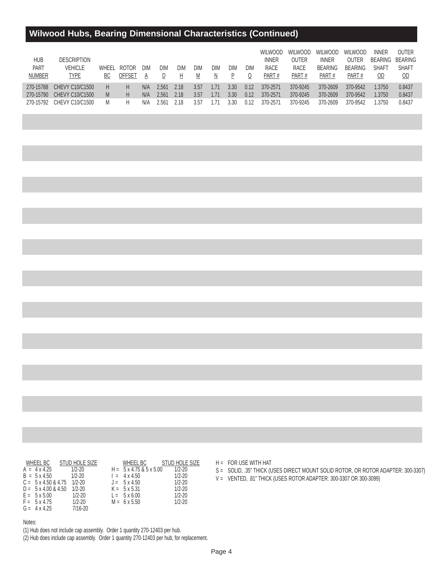## **Wilwood Hubs, Bearing Dimensional Characteristics (Continued)**

| <b>HUB</b><br>PART<br><b>NUMBER</b> | <b>DESCRIPTION</b><br>VEHICLE<br>TYPE | ВC | WHEEL ROTOR<br>OFFSET | DIM | DIM   | DIM  | DIM<br>M | <b>DIM</b> | DIM  | DIM<br>Q | <b>WILWOOD</b><br><b>INNER</b><br><b>RACE</b><br>PART# | <b>WILWOOD</b><br>OUTER<br><b>RACE</b><br>PART# | <b>WILWOOD</b><br><b>INNER</b><br><b>BEARING</b><br>PART# | <b>WILWOOD</b><br>OUTER<br><b>BEARING</b><br>PART# | <b>INNER</b><br><b>BEARING</b><br><b>SHAFT</b><br>OD | OUTER<br>BEARING<br><b>SHAFT</b><br>OD |
|-------------------------------------|---------------------------------------|----|-----------------------|-----|-------|------|----------|------------|------|----------|--------------------------------------------------------|-------------------------------------------------|-----------------------------------------------------------|----------------------------------------------------|------------------------------------------------------|----------------------------------------|
| 270-15788                           | <b>CHEVY C10/C1500</b>                | Н  | Н                     | N/A | 2.561 | 2.18 | 3.57     | .71        | 3.30 | 0.12     | 370-2571                                               | 370-9245                                        | 370-2609                                                  | 370-9542                                           | .3750                                                | 0.8437                                 |
| 270-15790                           | CHEVY C10/C1500                       | M  | Н                     | N/A | 2.561 | 2.18 | 3.57     | .71        | 3.30 | 0.12     | 370-2571                                               | 370-9245                                        | 370-2609                                                  | 370-9542                                           | .3750                                                | 0.8437                                 |
| 270-15792                           | CHEVY C10/C1500                       | M  |                       | N/A | 2.561 | 2 18 | 3.57     | .71        | 3.30 | 0.12     | 370-2571                                               | 370-9245                                        | 370-2609                                                  | 370-9542                                           | .3750                                                | 0.8437                                 |

| WHEEL BC                                 | STUD HOLE SIZE | WHEEL BC                             | STUD HOLE SIZE |
|------------------------------------------|----------------|--------------------------------------|----------------|
| $A = 4 \times 4.25$                      | $1/2 - 20$     | $H = 5 \times 4.75 \& 5 \times 5.00$ | $1/2 - 20$     |
| $B = 5 \times 4.50$                      | $1/2 - 20$     | $= 4 \times 4.50$                    | $1/2 - 20$     |
| $C = 5 \times 4.50 \& 4.75 \quad 1/2-20$ |                | $J = 5 \times 4.50$                  | $1/2 - 20$     |
| $D = 5 \times 4.00 \& 4.50$              | 1/2-20         | $K = 5 \times 5.31$                  | $1/2 - 20$     |
| $E = 5 \times 5.00$                      | $1/2 - 20$     | $L = 5 \times 6.00$                  | $1/2 - 20$     |
| $F = 5 \times 4.75$                      | $1/2 - 20$     | $M = 6 \times 5.50$                  | $1/2 - 20$     |
| $G = 4 \times 4.25$                      | 7/16-20        |                                      |                |

Notes:

(1) Hub does not include cap assembly. Order 1 quantity 270-12403 per hub.

(2) Hub does include cap assembly. Order 1 quantity 270-12403 per hub, for replacement.

S = SOLID, .35" THICK (USES DIRECT MOUNT SOLID ROTOR, OR ROTOR ADAPTER: 300-3307)

V = VENTED, .81" THICK (USES ROTOR ADAPTER: 300-3307 OR 300-3099)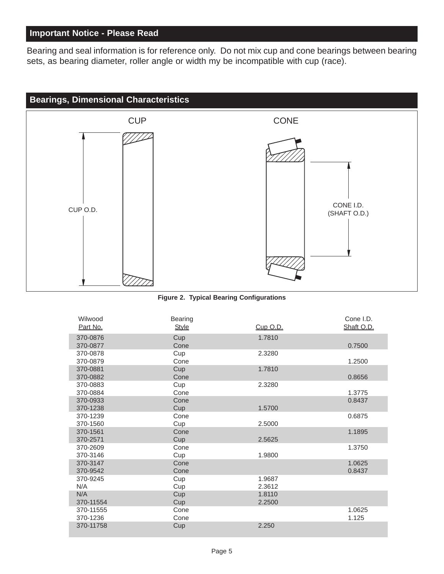### **Important Notice - Please Read**

[Bearing and seal information is for reference only. Do not mix cup and cone bearings between bearing](www.wilwood.com) sets, as bearing diameter, roller angle or width my be incompatible with cup (race).



**[Figure 2. Typical Bearing Configurations](www.wilwood.com)**

| Wilwood<br>Part No. | <b>Bearing</b><br><b>Style</b> | Cup O.D. | Cone I.D.<br>Shaft O.D. |
|---------------------|--------------------------------|----------|-------------------------|
|                     |                                |          |                         |
| 370-0876            | Cup                            | 1.7810   |                         |
| 370-0877            | Cone                           |          | 0.7500                  |
| 370-0878            | Cup                            | 2.3280   |                         |
| 370-0879            | Cone                           |          | 1.2500                  |
| 370-0881            | Cup                            | 1.7810   |                         |
| 370-0882            | Cone                           |          | 0.8656                  |
| 370-0883            | Cup                            | 2.3280   |                         |
| 370-0884            | Cone                           |          | 1.3775                  |
| 370-0933            | Cone                           |          | 0.8437                  |
| 370-1238            | Cup                            | 1.5700   |                         |
| 370-1239            | Cone                           |          | 0.6875                  |
| 370-1560            | Cup                            | 2.5000   |                         |
| 370-1561            | Cone                           |          | 1.1895                  |
| 370-2571            | Cup                            | 2.5625   |                         |
| 370-2609            | Cone                           |          | 1.3750                  |
| 370-3146            | Cup                            | 1.9800   |                         |
| 370-3147            | Cone                           |          | 1.0625                  |
| 370-9542            | Cone                           |          | 0.8437                  |
| 370-9245            | Cup                            | 1.9687   |                         |
| N/A                 | Cup                            | 2.3612   |                         |
| N/A                 | Cup                            | 1.8110   |                         |
| 370-11554           | Cup                            | 2.2500   |                         |
| 370-11555           | Cone                           |          | 1.0625                  |
| 370-1236            | Cone                           |          | 1.125                   |
| 370-11758           | Cup                            | 2.250    |                         |